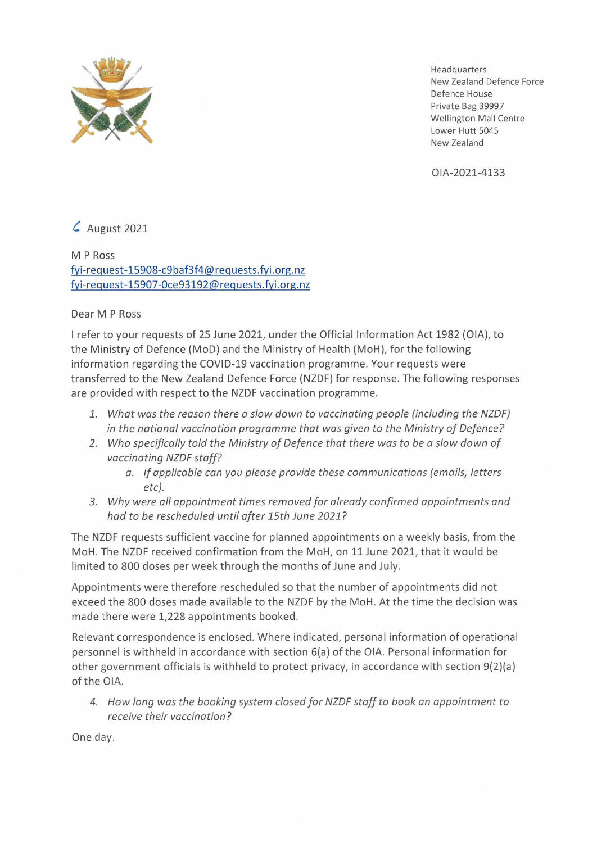

Headquarters New Zealand Defence Force Defence House Private Bag 39997 Wellington Mail Centre Lower Hutt 5045 New Zealand

OIA-2021-4133

*C.* August 2021

M PRoss fyi-request-15908-c9baf3f4@requests.fyi.org.nz fyi-request-15907-0ce93192@requests.fyi.org.nz

Dear M PRoss

I refer to your requests of 25 June 2021, under the Official Information Act 1982 (OIA), to the Ministry of Defence (MoD) and the Ministry of Health (MoH), for the following information regarding the COVID-19 vaccination programme. Your requests were transferred to the New Zealand Defence Force (NZDF} for response. The following responses are provided with respect to the NZDF vaccination programme.

- *1. What was the reason there a slow down to vaccinating people (including the NZDF} in the national vaccination programme that was given to the Ministry of Defence?*
- *2. Who specifically told the Ministry of Defence that there was to be a slow down of vaccinating NZDF staff?* 
	- *a. If applicable can you please provide these communications (emails, letters etc).*
- *3. Why were all appointment times removed for already confirmed appointments and had to be rescheduled until after 15th June 2021?*

The NZDF requests sufficient vaccine for planned appointments on a weekly basis, from the MoH. The NZDF received confirmation from the MoH, on 11 June 2021, that it would be limited to 800 doses per week through the months of June and July.

Appointments were therefore rescheduled so that the number of appointments did not exceed the 800 doses made available to the NZDF by the MoH. At the time the decision was made there were 1,228 appointments booked.

Relevant correspondence is enclosed. Where indicated, personal information of operational personnel is withheld in accordance with section 6(a) of the OIA. Personal information for other government officials is withheld to protect privacy, in accordance with section 9(2)(a) of the OIA.

*4. How long was the booking system closed for NZDF staff to book an appointment to receive their vaccination?* 

One day.